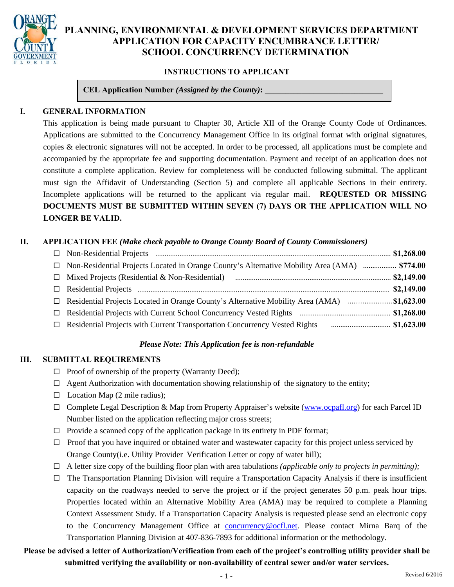

# **PLANNING, ENVIRONMENTAL & DEVELOPMENT SERVICES DEPARTMENT APPLICATION FOR CAPACITY ENCUMBRANCE LETTER/ SCHOOL CONCURRENCY DETERMINATION**

#### **INSTRUCTIONS TO APPLICANT**

**CEL Application Number** *(Assigned by the County)***:** 

#### **I. GENERAL INFORMATION**

This application is being made pursuant to Chapter 30, Article XII of the Orange County Code of Ordinances. Applications are submitted to the Concurrency Management Office in its original format with original signatures, copies & electronic signatures will not be accepted. In order to be processed, all applications must be complete and accompanied by the appropriate fee and supporting documentation. Payment and receipt of an application does not constitute a complete application. Review for completeness will be conducted following submittal. The applicant must sign the Affidavit of Understanding (Section 5) and complete all applicable Sections in their entirety. Incomplete applications will be returned to the applicant via regular mail. **REQUESTED OR MISSING DOCUMENTS MUST BE SUBMITTED WITHIN SEVEN (7) DAYS OR THE APPLICATION WILL NO LONGER BE VALID.** 

#### **II. APPLICATION FEE** *(Make check payable to Orange County Board of County Commissioners)*

| Non-Residential Projects Located in Orange County's Alternative Mobility Area (AMA)  \$774.00<br>$\Box$ |  |
|---------------------------------------------------------------------------------------------------------|--|
| $\Box$                                                                                                  |  |
|                                                                                                         |  |
|                                                                                                         |  |
| $\Box$                                                                                                  |  |
| $\Box$                                                                                                  |  |

#### *Please Note: This Application fee is non-refundable*

#### **III. SUBMITTAL REQUIREMENTS**

- $\Box$  Proof of ownership of the property (Warranty Deed);
- $\Box$  Agent Authorization with documentation showing relationship of the signatory to the entity;
- $\Box$  Location Map (2 mile radius);
- $\Box$  Complete Legal Description & Map from Property Appraiser's website (www.ocpafl.org) for each Parcel ID Number listed on the application reflecting major cross streets;
- $\Box$  Provide a scanned copy of the application package in its entirety in PDF format;
- $\Box$  Proof that you have inquired or obtained water and wastewater capacity for this project unless serviced by Orange County(i.e. Utility Provider Verification Letter or copy of water bill);
- $\Box$  A letter size copy of the building floor plan with area tabulations *(applicable only to projects in permitting)*;
- $\Box$  The Transportation Planning Division will require a Transportation Capacity Analysis if there is insufficient capacity on the roadways needed to serve the project or if the project generates 50 p.m. peak hour trips. Properties located within an Alternative Mobility Area (AMA) may be required to complete a Planning Context Assessment Study. If a Transportation Capacity Analysis is requested please send an electronic copy to the Concurrency Management Office at concurrency@ocfl.net. Please contact Mirna Barq of the Transportation Planning Division at 407-836-7893 for additional information or the methodology.

# **Please be advised a letter of Authorization/Verification from each of the project's controlling utility provider shall be submitted verifying the availability or non-availability of central sewer and/or water services.**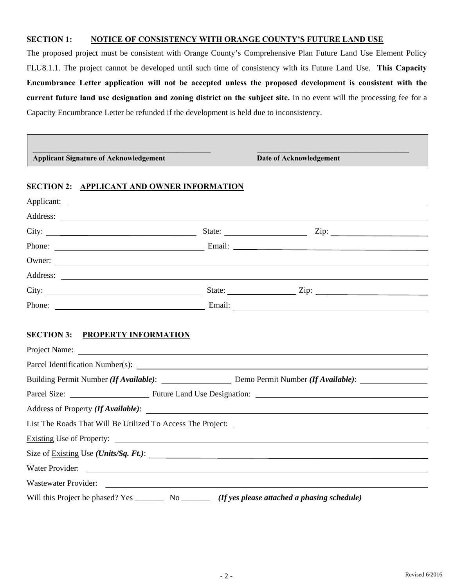#### **SECTION 1: NOTICE OF CONSISTENCY WITH ORANGE COUNTY'S FUTURE LAND USE**

The proposed project must be consistent with Orange County's Comprehensive Plan Future Land Use Element Policy FLU8.1.1. The project cannot be developed until such time of consistency with its Future Land Use. **This Capacity Encumbrance Letter application will not be accepted unless the proposed development is consistent with the current future land use designation and zoning district on the subject site.** In no event will the processing fee for a Capacity Encumbrance Letter be refunded if the development is held due to inconsistency.

| <b>Applicant Signature of Acknowledgement</b>                                                        | Date of Acknowledgement                                           |
|------------------------------------------------------------------------------------------------------|-------------------------------------------------------------------|
| <b>SECTION 2: APPLICANT AND OWNER INFORMATION</b>                                                    |                                                                   |
|                                                                                                      |                                                                   |
|                                                                                                      |                                                                   |
|                                                                                                      | City: $\frac{\text{City:}}{\text{With } \text{Right}}$            |
|                                                                                                      |                                                                   |
|                                                                                                      | Owner:                                                            |
|                                                                                                      |                                                                   |
|                                                                                                      |                                                                   |
|                                                                                                      |                                                                   |
| <b>SECTION 3: PROPERTY INFORMATION</b>                                                               |                                                                   |
|                                                                                                      |                                                                   |
|                                                                                                      |                                                                   |
|                                                                                                      |                                                                   |
|                                                                                                      |                                                                   |
|                                                                                                      |                                                                   |
| Existing Use of Property:                                                                            |                                                                   |
|                                                                                                      | Size of $\frac{Existing}{\text{Use (Units/Sq. } \textit{Ft.})}$ . |
| Water Provider:                                                                                      |                                                                   |
| Wastewater Provider:                                                                                 |                                                                   |
| Will this Project be phased? Yes __________ No _________ (If yes please attached a phasing schedule) |                                                                   |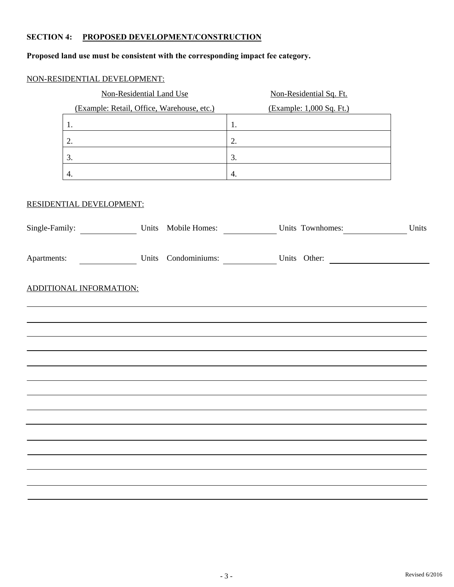# **SECTION 4: PROPOSED DEVELOPMENT/CONSTRUCTION**

# **Proposed land use must be consistent with the corresponding impact fee category.**

# NON-RESIDENTIAL DEVELOPMENT:

|                                    | Non-Residential Land Use                   |    | Non-Residential Sq. Ft.                      |       |
|------------------------------------|--------------------------------------------|----|----------------------------------------------|-------|
|                                    | (Example: Retail, Office, Warehouse, etc.) |    | (Example: 1,000 Sq. Ft.)                     |       |
| 1.                                 |                                            | 1. |                                              |       |
| 2.                                 |                                            | 2. |                                              |       |
| 3.                                 |                                            | 3. |                                              |       |
| 4.                                 |                                            | 4. |                                              |       |
| RESIDENTIAL DEVELOPMENT:           |                                            |    |                                              |       |
| Single-Family: Units Mobile Homes: |                                            |    | Units Townhomes:                             | Units |
|                                    |                                            |    | Apartments: Units Condominiums: Units Other: |       |
| <b>ADDITIONAL INFORMATION:</b>     |                                            |    |                                              |       |
|                                    |                                            |    |                                              |       |
|                                    |                                            |    |                                              |       |
|                                    |                                            |    |                                              |       |
|                                    |                                            |    |                                              |       |
|                                    |                                            |    |                                              |       |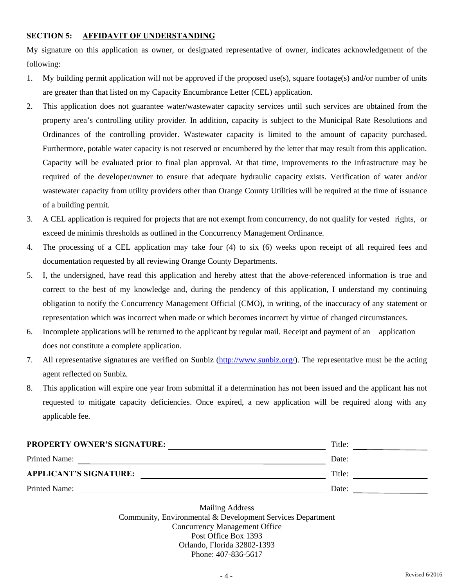#### **SECTION 5: AFFIDAVIT OF UNDERSTANDING**

My signature on this application as owner, or designated representative of owner, indicates acknowledgement of the following:

- 1. My building permit application will not be approved if the proposed use(s), square footage(s) and/or number of units are greater than that listed on my Capacity Encumbrance Letter (CEL) application.
- 2. This application does not guarantee water/wastewater capacity services until such services are obtained from the property area's controlling utility provider. In addition, capacity is subject to the Municipal Rate Resolutions and Ordinances of the controlling provider. Wastewater capacity is limited to the amount of capacity purchased. Furthermore, potable water capacity is not reserved or encumbered by the letter that may result from this application. Capacity will be evaluated prior to final plan approval. At that time, improvements to the infrastructure may be required of the developer/owner to ensure that adequate hydraulic capacity exists. Verification of water and/or wastewater capacity from utility providers other than Orange County Utilities will be required at the time of issuance of a building permit.
- 3. A CEL application is required for projects that are not exempt from concurrency, do not qualify for vested rights, or exceed de minimis thresholds as outlined in the Concurrency Management Ordinance.
- 4. The processing of a CEL application may take four (4) to six (6) weeks upon receipt of all required fees and documentation requested by all reviewing Orange County Departments.
- 5. I, the undersigned, have read this application and hereby attest that the above-referenced information is true and correct to the best of my knowledge and, during the pendency of this application, I understand my continuing obligation to notify the Concurrency Management Official (CMO), in writing, of the inaccuracy of any statement or representation which was incorrect when made or which becomes incorrect by virtue of changed circumstances.
- 6. Incomplete applications will be returned to the applicant by regular mail. Receipt and payment of an application does not constitute a complete application.
- 7. All representative signatures are verified on Sunbiz (http://www.sunbiz.org/). The representative must be the acting agent reflected on Sunbiz.
- 8. This application will expire one year from submittal if a determination has not been issued and the applicant has not requested to mitigate capacity deficiencies. Once expired, a new application will be required along with any applicable fee.

| <b>PROPERTY OWNER'S SIGNATURE:</b> | Title: |  |
|------------------------------------|--------|--|
| Printed Name:                      | Date:  |  |
| <b>APPLICANT'S SIGNATURE:</b>      | Title: |  |
| Printed Name:                      | Date:  |  |

Mailing Address Community, Environmental & Development Services Department Concurrency Management Office Post Office Box 1393 Orlando, Florida 32802-1393 Phone: 407-836-5617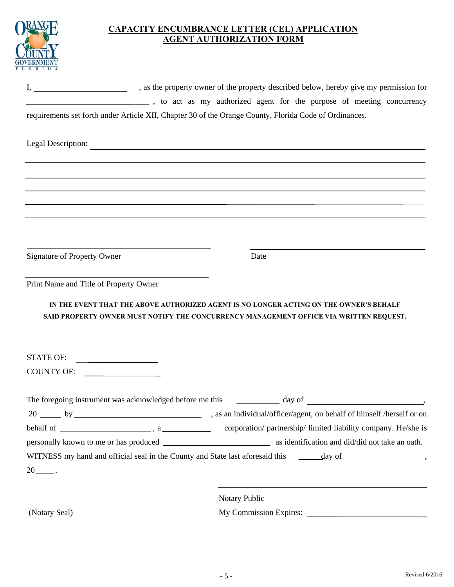|                                                              | <b>CAPACITY ENCUMBRANCE LETTER (CEL) APPLICATION</b><br><b>AGENT AUTHORIZATION FORM</b>                                                                                          |
|--------------------------------------------------------------|----------------------------------------------------------------------------------------------------------------------------------------------------------------------------------|
|                                                              |                                                                                                                                                                                  |
|                                                              | sto act as my authorized agent for the purpose of meeting concurrency<br>requirements set forth under Article XII, Chapter 30 of the Orange County, Florida Code of Ordinances.  |
| Legal Description:                                           | <u> 1989 - Johann Stoff, amerikansk politiker (* 1908)</u>                                                                                                                       |
|                                                              | ,我们也不会有什么。""我们的人,我们也不会有什么?""我们的人,我们也不会有什么?""我们的人,我们也不会有什么?""我们的人,我们也不会有什么?""我们的人                                                                                                 |
| Signature of Property Owner                                  | Date                                                                                                                                                                             |
| Print Name and Title of Property Owner                       |                                                                                                                                                                                  |
|                                                              | IN THE EVENT THAT THE ABOVE AUTHORIZED AGENT IS NO LONGER ACTING ON THE OWNER'S BEHALF<br>SAID PROPERTY OWNER MUST NOTIFY THE CONCURRENCY MANAGEMENT OFFICE VIA WRITTEN REQUEST. |
| <b>STATE OF:</b><br><u> 1989 - Johann Barbara, martin a</u>  |                                                                                                                                                                                  |
| <b>COUNTY OF:</b><br><u> 1990 - Johann Barbara, martin a</u> |                                                                                                                                                                                  |
|                                                              |                                                                                                                                                                                  |
|                                                              | 20 by by sam individual/officer/agent, on behalf of himself /herself or on                                                                                                       |
|                                                              |                                                                                                                                                                                  |
|                                                              |                                                                                                                                                                                  |
| $20$ <sub>____</sub> .                                       |                                                                                                                                                                                  |
|                                                              |                                                                                                                                                                                  |
|                                                              | Notary Public                                                                                                                                                                    |
| (Notary Seal)                                                |                                                                                                                                                                                  |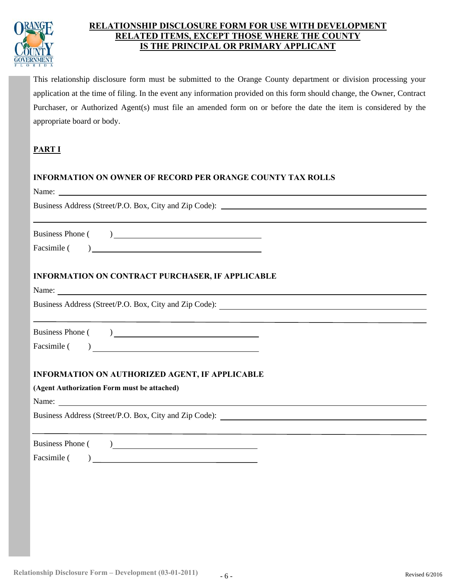

# **RELATED ITEMS, EXCEPT THOSE WHERE THE COUNTY IS THE PRINCIPAL OR PRIMARY APPLICANTRELATIONSHIP DISCLOSURE FORM FOR USE WITH DEVELOPMENT**

This relationship disclosure form must be submitted to the Orange County department or division processing your application at the time of filing. In the event any information provided on this form should change, the Owner, Contract Purchaser, or Authorized Agent(s) must file an amended form on or before the date the item is considered by the appropriate board or body.

# **PART I**

# **INFORMATION ON OWNER OF RECORD PER ORANGE COUNTY TAX ROLLS**

| Name: Name and the state of the state of the state of the state of the state of the state of the state of the state of the state of the state of the state of the state of the state of the state of the state of the state of |
|--------------------------------------------------------------------------------------------------------------------------------------------------------------------------------------------------------------------------------|
|                                                                                                                                                                                                                                |
|                                                                                                                                                                                                                                |
|                                                                                                                                                                                                                                |
| <b>INFORMATION ON CONTRACT PURCHASER, IF APPLICABLE</b>                                                                                                                                                                        |
| Name:                                                                                                                                                                                                                          |
| Business Address (Street/P.O. Box, City and Zip Code): __________________________                                                                                                                                              |
|                                                                                                                                                                                                                                |
|                                                                                                                                                                                                                                |
| <b>INFORMATION ON AUTHORIZED AGENT, IF APPLICABLE</b>                                                                                                                                                                          |
| (Agent Authorization Form must be attached)                                                                                                                                                                                    |
|                                                                                                                                                                                                                                |
| Business Address (Street/P.O. Box, City and Zip Code): __________________________                                                                                                                                              |
| Business Phone ()                                                                                                                                                                                                              |
|                                                                                                                                                                                                                                |
|                                                                                                                                                                                                                                |
|                                                                                                                                                                                                                                |
|                                                                                                                                                                                                                                |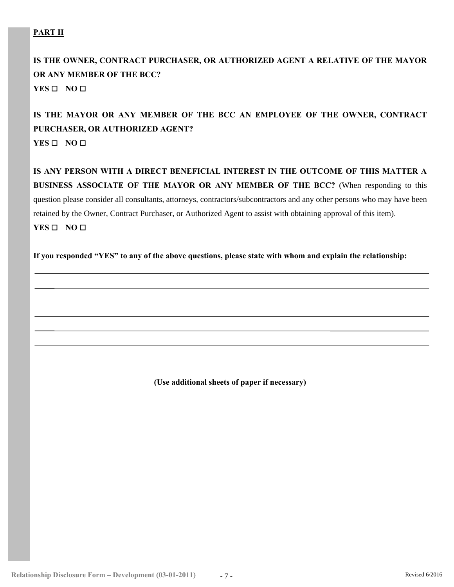# **PART II**

# **IS THE OWNER, CONTRACT PURCHASER, OR AUTHORIZED AGENT A RELATIVE OF THE MAYOR OR ANY MEMBER OF THE BCC?**

**YES**  $\Box$  **NO**  $\Box$ 

# **IS THE MAYOR OR ANY MEMBER OF THE BCC AN EMPLOYEE OF THE OWNER, CONTRACT PURCHASER, OR AUTHORIZED AGENT? YES** □ NO □

**IS ANY PERSON WITH A DIRECT BENEFICIAL INTEREST IN THE OUTCOME OF THIS MATTER A BUSINESS ASSOCIATE OF THE MAYOR OR ANY MEMBER OF THE BCC?** (When responding to this question please consider all consultants, attorneys, contractors/subcontractors and any other persons who may have been retained by the Owner, Contract Purchaser, or Authorized Agent to assist with obtaining approval of this item). **YES**  $\Box$  **NO**  $\Box$ 

**If you responded "YES" to any of the above questions, please state with whom and explain the relationship:** 

**(Use additional sheets of paper if necessary)**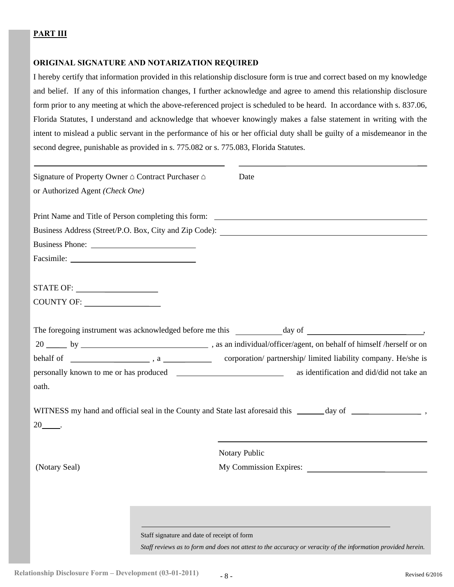#### **PART III**

#### **ORIGINAL SIGNATURE AND NOTARIZATION REQUIRED**

I hereby certify that information provided in this relationship disclosure form is true and correct based on my knowledge and belief. If any of this information changes, I further acknowledge and agree to amend this relationship disclosure form prior to any meeting at which the above-referenced project is scheduled to be heard. In accordance with s. 837.06, Florida Statutes, I understand and acknowledge that whoever knowingly makes a false statement in writing with the intent to mislead a public servant in the performance of his or her official duty shall be guilty of a misdemeanor in the second degree, punishable as provided in s. 775.082 or s. 775.083, Florida Statutes.

| Signature of Property Owner ∆ Contract Purchaser ∆ | Date                                                                                                         |
|----------------------------------------------------|--------------------------------------------------------------------------------------------------------------|
| or Authorized Agent (Check One)                    |                                                                                                              |
|                                                    | Print Name and Title of Person completing this form:                                                         |
|                                                    | Business Address (Street/P.O. Box, City and Zip Code): __________________________                            |
|                                                    |                                                                                                              |
|                                                    |                                                                                                              |
|                                                    |                                                                                                              |
|                                                    |                                                                                                              |
|                                                    |                                                                                                              |
|                                                    |                                                                                                              |
|                                                    |                                                                                                              |
|                                                    | as identification and did/did not take an                                                                    |
| oath.                                              |                                                                                                              |
|                                                    |                                                                                                              |
| $20$ _______.                                      |                                                                                                              |
|                                                    | Notary Public                                                                                                |
| (Notary Seal)                                      | My Commission Expires:                                                                                       |
|                                                    |                                                                                                              |
|                                                    |                                                                                                              |
|                                                    |                                                                                                              |
| Staff signature and date of receipt of form        |                                                                                                              |
|                                                    | Staff reviews as to form and does not attest to the accuracy or veracity of the information provided herein. |

**Relationship Disclosure Form – Development (03-01-2011)**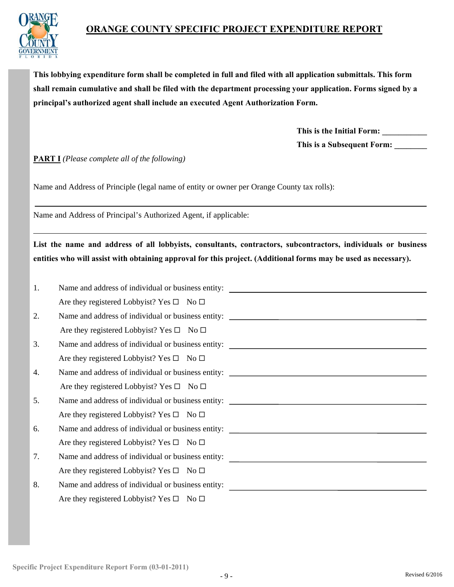



**This lobbying expenditure form shall be completed in full and filed with all application submittals. This form shall remain cumulative and shall be filed with the department processing your application. Forms signed by a principal's authorized agent shall include an executed Agent Authorization Form.** 

> **This is the Initial Form: \_\_\_\_\_\_\_\_\_\_\_ This is a Subsequent Form: \_\_\_\_\_\_\_\_**

**PART I** *(Please complete all of the following)* 

Name and Address of Principle (legal name of entity or owner per Orange County tax rolls):

Name and Address of Principal's Authorized Agent, if applicable:

**List the name and address of all lobbyists, consultants, contractors, subcontractors, individuals or business entities who will assist with obtaining approval for this project. (Additional forms may be used as necessary).** 

| 1. | Name and address of individual or business entity:       |
|----|----------------------------------------------------------|
|    | Are they registered Lobbyist? Yes $\square$ No $\square$ |
| 2. |                                                          |
|    | Are they registered Lobbyist? Yes $\square$ No $\square$ |
| 3. | Name and address of individual or business entity:       |
|    | Are they registered Lobbyist? Yes $\square$ No $\square$ |
| 4. |                                                          |
|    | Are they registered Lobbyist? Yes $\square$ No $\square$ |
| 5. |                                                          |
|    | Are they registered Lobbyist? Yes $\square$ No $\square$ |
| 6. |                                                          |
|    | Are they registered Lobbyist? Yes $\square$ No $\square$ |
| 7. | Name and address of individual or business entity:       |
|    | Are they registered Lobbyist? Yes $\square$ No $\square$ |
| 8. | Name and address of individual or business entity:       |
|    | Are they registered Lobbyist? Yes $\square$ No $\square$ |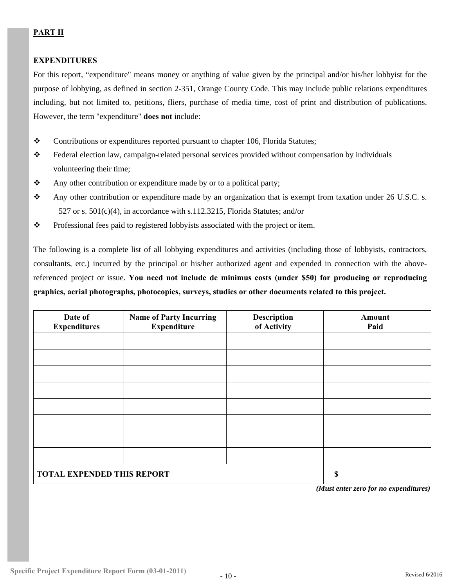# **PART II**

#### **EXPENDITURES**

For this report, "expenditure" means money or anything of value given by the principal and/or his/her lobbyist for the purpose of lobbying, as defined in section 2-351, Orange County Code. This may include public relations expenditures including, but not limited to, petitions, fliers, purchase of media time, cost of print and distribution of publications. However, the term "expenditure" **does not** include:

- \* Contributions or expenditures reported pursuant to chapter 106, Florida Statutes;
- Federal election law, campaign-related personal services provided without compensation by individuals volunteering their time;
- \* Any other contribution or expenditure made by or to a political party;
- Any other contribution or expenditure made by an organization that is exempt from taxation under 26 U.S.C. s.  $527$  or s.  $501(c)(4)$ , in accordance with s.112.3215, Florida Statutes; and/or
- \* Professional fees paid to registered lobbyists associated with the project or item.

The following is a complete list of all lobbying expenditures and activities (including those of lobbyists, contractors, consultants, etc.) incurred by the principal or his/her authorized agent and expended in connection with the abovereferenced project or issue. **You need not include de minimus costs (under \$50) for producing or reproducing graphics, aerial photographs, photocopies, surveys, studies or other documents related to this project.** 

| Date of<br><b>Expenditures</b>    | <b>Name of Party Incurring</b><br><b>Expenditure</b> | <b>Description</b><br>of Activity | Amount<br>Paid        |
|-----------------------------------|------------------------------------------------------|-----------------------------------|-----------------------|
|                                   |                                                      |                                   |                       |
|                                   |                                                      |                                   |                       |
|                                   |                                                      |                                   |                       |
|                                   |                                                      |                                   |                       |
|                                   |                                                      |                                   |                       |
|                                   |                                                      |                                   |                       |
|                                   |                                                      |                                   |                       |
|                                   |                                                      |                                   |                       |
| <b>TOTAL EXPENDED THIS REPORT</b> |                                                      |                                   | $\mathbf S$<br>$\sim$ |

 *(Must enter zero for no expenditures)*